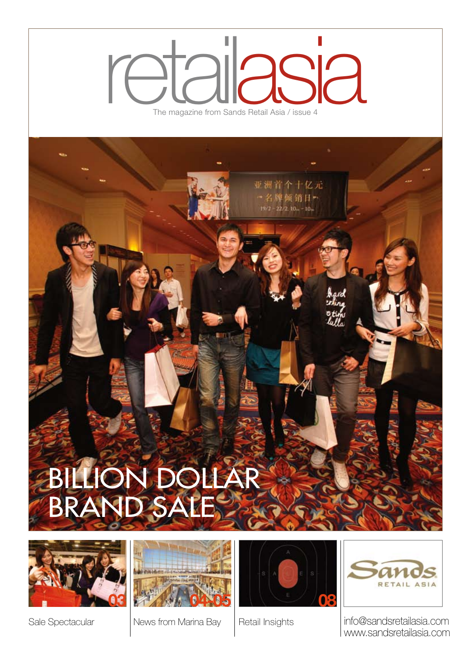# The magazine from Sands The magazine from Sands Retail Asia / issue 4 asia

亚洲首个十亿元

-名牌倾销日-

# Billion Dollar **BRAND SAL**





News from Marina Bay





Sale Spectacular | News from Marina Bay | Retail Insights | info@sandsretailasia.com www.sandsretailasia.com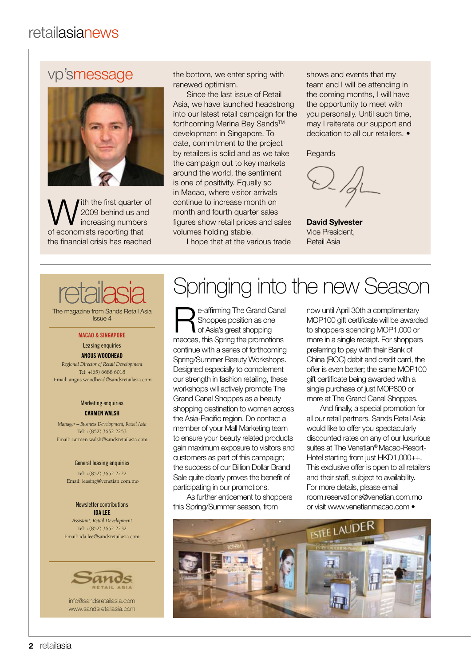### vp'smessage



ith the first quarter of 2009 behind us and increasing numbers of economists reporting that the financial crisis has reached

the bottom, we enter spring with renewed optimism.

Since the last issue of Retail Asia, we have launched headstrong into our latest retail campaign for the forthcoming Marina Bay Sands™ development in Singapore. To date, commitment to the project by retailers is solid and as we take the campaign out to key markets around the world, the sentiment is one of positivity. Equally so in Macao, where visitor arrivals continue to increase month on month and fourth quarter sales figures show retail prices and sales volumes holding stable.

I hope that at the various trade

shows and events that my team and I will be attending in the coming months, I will have the opportunity to meet with you personally. Until such time, may I reiterate our support and dedication to all our retailers. •

**Regards** 

**David Sylvester** Vice President, Retail Asia

# retailasia

The magazine from Sands Retail Asia Issue 4

#### **Macao & Singapore**

#### Leasing enquiries

**Angus Woodhead**  *Regional Director of Retail Development* Tel: +(65) 6688 6018 Email: angus.woodhead@sandsretailasia.com

#### Marketing enquiries **Carmen Walsh**

*Manager – Business Development, Retail Asia* Tel: +(852) 3652 2253 Email: carmen.walsh@sandsretailasia.com

#### General leasing enquiries

Tel: +(852) 3652 2222 Email: leasing@venetian.com.mo

#### Newsletter contributions **Ida lee**  *Assistant, Retail Development*  Tel: +(852) 3652 2232 Email: ida.lee@sandsretailasia.com



info@sandsretailasia.com www.sandsretailasia.com

## Springing into the new Season

e-affirming The Grand Canal Shoppes position as one of Asia's great shopping meccas, this Spring the promotions continue with a series of forthcoming Spring/Summer Beauty Workshops. Designed especially to complement our strength in fashion retailing, these workshops will actively promote The Grand Canal Shoppes as a beauty shopping destination to women across the Asia-Pacific region. Do contact a member of your Mall Marketing team to ensure your beauty related products gain maximum exposure to visitors and customers as part of this campaign; the success of our Billion Dollar Brand Sale quite clearly proves the benefit of participating in our promotions.

As further enticement to shoppers this Spring/Summer season, from

now until April 30th a complimentary MOP100 gift certificate will be awarded to shoppers spending MOP1,000 or more in a single receipt. For shoppers preferring to pay with their Bank of China (BOC) debit and credit card, the offer is even better; the same MOP100 gift certificate being awarded with a single purchase of just MOP800 or more at The Grand Canal Shoppes.

And finally, a special promotion for all our retail partners. Sands Retail Asia would like to offer you spectacularly discounted rates on any of our luxurious suites at The Venetian® Macao-Resort-Hotel starting from just HKD1,000++. This exclusive offer is open to all retailers and their staff, subject to availability. For more details, please email room.reservations@venetian.com.mo or visit www.venetianmacao.com •

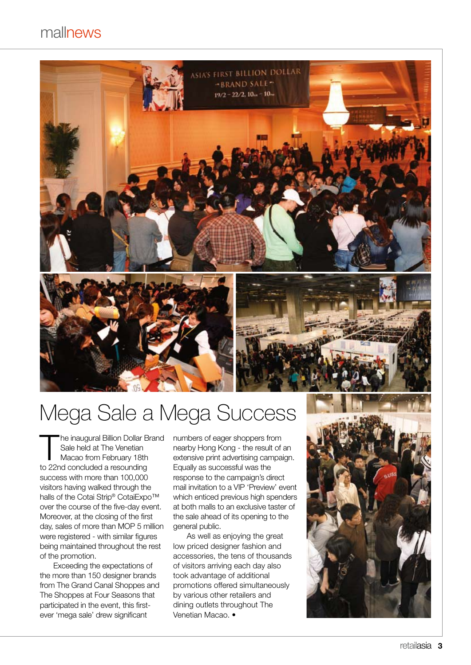### mallnews



## Mega Sale a Mega Success

he inaugural Billion Dollar Brand Sale held at The Venetian Macao from February 18th to 22nd concluded a resounding success with more than 100,000 visitors having walked through the halls of the Cotai Strip® CotaiExpo™ over the course of the five-day event. Moreover, at the closing of the first day, sales of more than MOP 5 million were registered - with similar figures being maintained throughout the rest of the promotion.

Exceeding the expectations of the more than 150 designer brands from The Grand Canal Shoppes and The Shoppes at Four Seasons that participated in the event, this firstever 'mega sale' drew significant

numbers of eager shoppers from nearby Hong Kong - the result of an extensive print advertising campaign. Equally as successful was the response to the campaign's direct mail invitation to a VIP 'Preview' event which enticed previous high spenders at both malls to an exclusive taster of the sale ahead of its opening to the general public.

As well as enjoying the great low priced designer fashion and accessories, the tens of thousands of visitors arriving each day also took advantage of additional promotions offered simultaneously by various other retailers and dining outlets throughout The Venetian Macao. •

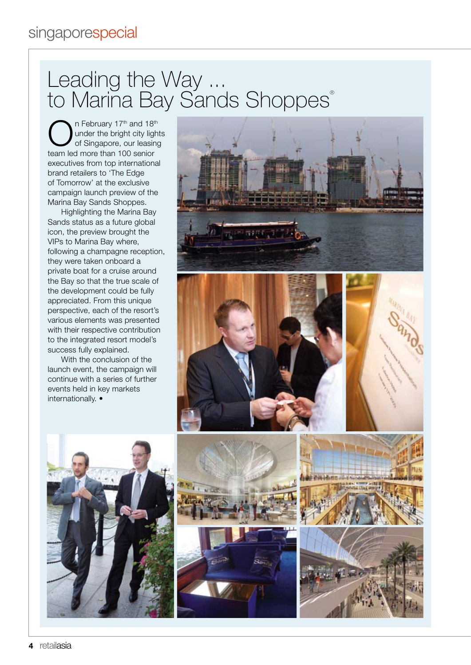### Leading the Way ... to Mariña Bay Sands Shoppes®

n February 17<sup>th</sup> and 18<sup>th</sup> under the bright city lights of Singapore, our leasing team led more than 100 senior executives from top international brand retailers to 'The Edge of Tomorrow' at the exclusive campaign launch preview of the Marina Bay Sands Shoppes.

Highlighting the Marina Bay Sands status as a future global icon, the preview brought the VIPs to Marina Bay where, following a champagne reception, they were taken onboard a private boat for a cruise around the Bay so that the true scale of the development could be fully appreciated. From this unique perspective, each of the resort's various elements was presented with their respective contribution to the integrated resort model's success fully explained.

With the conclusion of the launch event, the campaign will continue with a series of further events held in key markets internationally. •















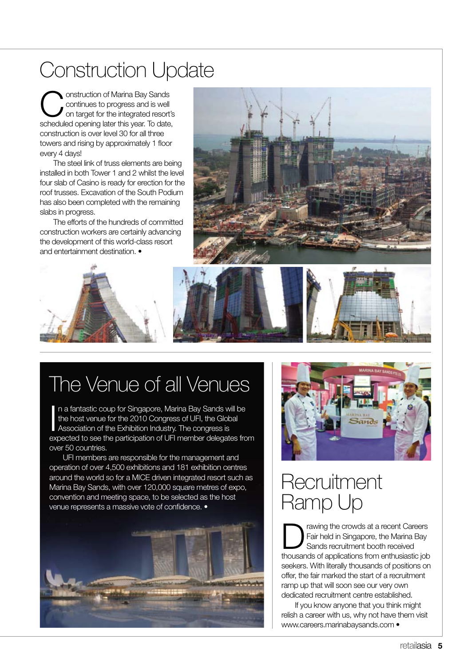### Construction Update

**Construction of Marina Bay Sands<br>
continues to progress and is well<br>
on target for the integrated resort's<br>
coheck that progrims later this user. To date** continues to progress and is well scheduled opening later this year. To date, construction is over level 30 for all three towers and rising by approximately 1 floor every 4 days!

The steel link of truss elements are being installed in both Tower 1 and 2 whilst the level four slab of Casino is ready for erection for the roof trusses. Excavation of the South Podium has also been completed with the remaining slabs in progress.

The efforts of the hundreds of committed construction workers are certainly advancing the development of this world-class resort and entertainment destination.





## The Venue of all Venues

In a fantastic coup for Singapore, Marina Bay Sands w<br>the host venue for the 2010 Congress of UFI, the Glob<br>Association of the Exhibition Industry. The congress is n a fantastic coup for Singapore, Marina Bay Sands will be the host venue for the 2010 Congress of UFI, the Global expected to see the participation of UFI member delegates from over 50 countries.

UFI members are responsible for the management and operation of over 4,500 exhibitions and 181 exhibition centres around the world so for a MICE driven integrated resort such as Marina Bay Sands, with over 120,000 square metres of expo, convention and meeting space, to be selected as the host venue represents a massive vote of confidence. •





### **Recruitment** Ramp Up

rawing the crowds at a recent Careers Fair held in Singapore, the Marina Bay Sands recruitment booth received thousands of applications from enthusiastic job seekers. With literally thousands of positions on offer, the fair marked the start of a recruitment ramp up that will soon see our very own dedicated recruitment centre established.

If you know anyone that you think might relish a career with us, why not have them visit www.careers.marinabaysands.com •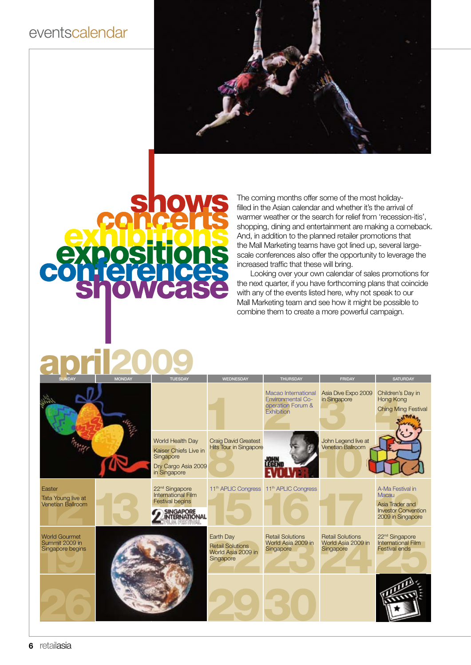### eventscalendar



The coming months offer some of the most holidayfilled in the Asian calendar and whether it's the arrival of warmer weather or the search for relief from 'recession-itis', shopping, dining and entertainment are making a comeback. And, in addition to the planned retailer promotions that the Mall Marketing teams have got lined up, several largescale conferences also offer the opportunity to leverage the increased traffic that these will bring.

Looking over your own calendar of sales promotions for the next quarter, if you have forthcoming plans that coincide with any of the events listed here, why not speak to our Mall Marketing team and see how it might be possible to combine them to create a more powerful campaign.

### **april 2009 SUNDAY**

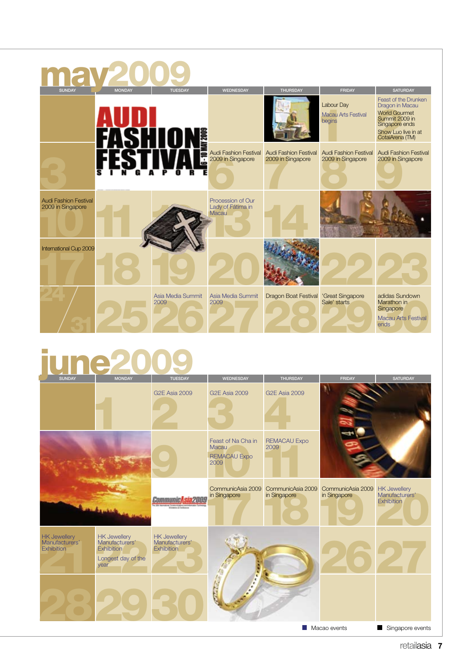| <b>SUNDAY</b>                                     | <b>MONDAY</b> | <b>TUESDAY</b>            | <b>WEDNESDAY</b>                                       | <b>THURSDAY</b>                                                  | <b>FRIDAY</b>                                      | <b>SATURDAY</b>                                                                                                                                      |
|---------------------------------------------------|---------------|---------------------------|--------------------------------------------------------|------------------------------------------------------------------|----------------------------------------------------|------------------------------------------------------------------------------------------------------------------------------------------------------|
|                                                   |               | 12009                     |                                                        |                                                                  | Labour Day<br><b>Macau Arts Festival</b><br>begins | <b>Feast of the Drunken</b><br>Dragon in Macau<br><b>World Gourmet</b><br>Summit 2009 in<br>Singapore ends<br>Show Luo live in at<br>CotaiArena (TM) |
|                                                   |               | 7                         | 2009 in Singapore                                      | Audi Fashion Festival Audi Fashion Festival<br>2009 in Singapore | <b>Audi Fashion Festival</b><br>2009 in Singapore  | <b>Audi Fashion Festival</b><br>2009 in Singapore                                                                                                    |
| <b>Audi Fashion Festival</b><br>2009 in Singapore |               |                           | Procession of Our<br>Lady of Fátima in<br><b>Macau</b> |                                                                  |                                                    |                                                                                                                                                      |
| International Cup 2009                            |               |                           |                                                        |                                                                  |                                                    |                                                                                                                                                      |
|                                                   |               | Asia Media Summit<br>2009 | Asia Media Summit<br>2009                              | <b>Dragon Boat Festival</b>                                      | 'Great Singapore<br>Sale' starts                   | adidas Sundown<br>Marathon in<br>Singapore<br><b>Macau Arts Festival</b><br>ends                                                                     |

# Tune2009

| <b>JUNUAT</b>                                              | <b>IVIONDAT</b>                                                                          | <b>IULSUAT</b>                                             | <b><i>INCONCOUNT</i></b>                                   | <b>INUNDUAT</b>                   | <b>FRIUAT</b>                     | <b>SAIUNDAI</b>                                     |
|------------------------------------------------------------|------------------------------------------------------------------------------------------|------------------------------------------------------------|------------------------------------------------------------|-----------------------------------|-----------------------------------|-----------------------------------------------------|
|                                                            |                                                                                          | <b>G2E Asia 2009</b>                                       | <b>G2E Asia 2009</b>                                       | <b>G2E Asia 2009</b>              |                                   |                                                     |
|                                                            |                                                                                          |                                                            | Feast of Na Cha in<br>Macau<br><b>REMACAU Expo</b><br>2009 | <b>REMACAU Expo</b><br>2009       |                                   |                                                     |
|                                                            |                                                                                          | Communic                                                   | CommunicAsia 2009<br>in Singapore                          | CommunicAsia 2009<br>in Singapore | CommunicAsia 2009<br>in Singapore | <b>HK Jewellery</b><br>Manufacturers'<br>Exhibition |
| <b>HK Jewellery</b><br>Manufacturers'<br><b>Exhibition</b> | <b>HK Jewellery</b><br>Manufacturers'<br><b>Exhibition</b><br>Longest day of the<br>year | <b>HK Jewellery</b><br>Manufacturers'<br><b>Exhibition</b> | aters a                                                    |                                   |                                   |                                                     |
|                                                            |                                                                                          |                                                            |                                                            | I.                                | Macao events                      | Singapore events<br>ш                               |